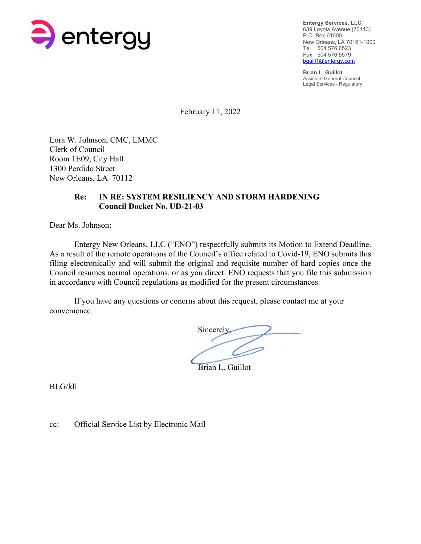

**Entergy Services, LLC**  639 Loyola Avenue (70113) P.O. Box 61000 New Orleans, LA 70161-1000 Tel 504 576 6523 Fax 504 576 5579 bguill1@entergy.com

**Brian L. Guillot**  Assistant General Counsel Legal Services - Regulatory

February 11, 2022

Lora W. Johnson, CMC, LMMC Clerk of Council Room 1E09, City Hall 1300 Perdido Street New Orleans, LA 70112

# **Re: IN RE: SYSTEM RESILIENCY AND STORM HARDENING Council Docket No. UD-21-03**

Dear Ms. Johnson:

Entergy New Orleans, LLC ("ENO") respectfully submits its Motion to Extend Deadline. As a result of the remote operations of the Council's office related to Covid-19, ENO submits this filing electronically and will submit the original and requisite number of hard copies once the Council resumes normal operations, or as you direct. ENO requests that you file this submission in accordance with Council regulations as modified for the present circumstances.

 If you have any questions or conerns about this request, please contact me at your convenience.

Sincerely, Brian L. Guillot

BLG/kll

cc: Official Service List by Electronic Mail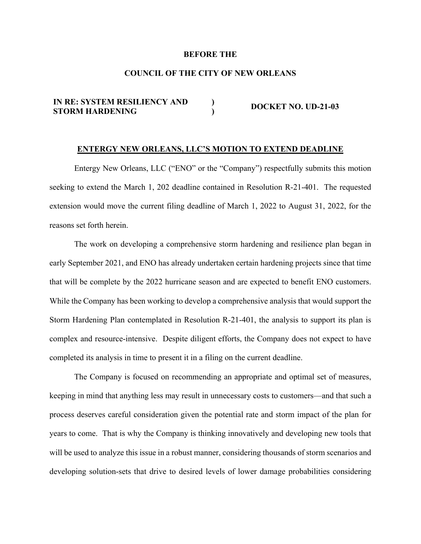## **BEFORE THE**

# **COUNCIL OF THE CITY OF NEW ORLEANS**

#### **IN RE: SYSTEM RESILIENCY AND STORM HARDENING ) ) DOCKET NO. UD-21-03**

## **ENTERGY NEW ORLEANS, LLC'S MOTION TO EXTEND DEADLINE**

Entergy New Orleans, LLC ("ENO" or the "Company") respectfully submits this motion seeking to extend the March 1, 202 deadline contained in Resolution R-21-401. The requested extension would move the current filing deadline of March 1, 2022 to August 31, 2022, for the reasons set forth herein.

The work on developing a comprehensive storm hardening and resilience plan began in early September 2021, and ENO has already undertaken certain hardening projects since that time that will be complete by the 2022 hurricane season and are expected to benefit ENO customers. While the Company has been working to develop a comprehensive analysis that would support the Storm Hardening Plan contemplated in Resolution R-21-401, the analysis to support its plan is complex and resource-intensive. Despite diligent efforts, the Company does not expect to have completed its analysis in time to present it in a filing on the current deadline.

The Company is focused on recommending an appropriate and optimal set of measures, keeping in mind that anything less may result in unnecessary costs to customers—and that such a process deserves careful consideration given the potential rate and storm impact of the plan for years to come. That is why the Company is thinking innovatively and developing new tools that will be used to analyze this issue in a robust manner, considering thousands of storm scenarios and developing solution-sets that drive to desired levels of lower damage probabilities considering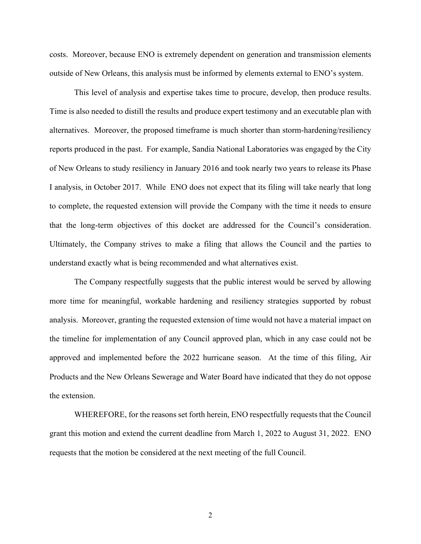costs. Moreover, because ENO is extremely dependent on generation and transmission elements outside of New Orleans, this analysis must be informed by elements external to ENO's system.

This level of analysis and expertise takes time to procure, develop, then produce results. Time is also needed to distill the results and produce expert testimony and an executable plan with alternatives. Moreover, the proposed timeframe is much shorter than storm-hardening/resiliency reports produced in the past. For example, Sandia National Laboratories was engaged by the City of New Orleans to study resiliency in January 2016 and took nearly two years to release its Phase I analysis, in October 2017. While ENO does not expect that its filing will take nearly that long to complete, the requested extension will provide the Company with the time it needs to ensure that the long-term objectives of this docket are addressed for the Council's consideration. Ultimately, the Company strives to make a filing that allows the Council and the parties to understand exactly what is being recommended and what alternatives exist.

The Company respectfully suggests that the public interest would be served by allowing more time for meaningful, workable hardening and resiliency strategies supported by robust analysis. Moreover, granting the requested extension of time would not have a material impact on the timeline for implementation of any Council approved plan, which in any case could not be approved and implemented before the 2022 hurricane season. At the time of this filing, Air Products and the New Orleans Sewerage and Water Board have indicated that they do not oppose the extension.

WHEREFORE, for the reasons set forth herein, ENO respectfully requests that the Council grant this motion and extend the current deadline from March 1, 2022 to August 31, 2022. ENO requests that the motion be considered at the next meeting of the full Council.

2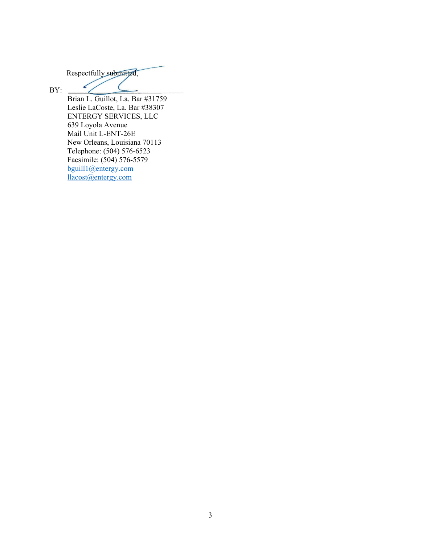Respectfully submitted,

✓

BY:

Brian L. Guillot, La. Bar #31759 Leslie LaCoste, La. Bar #38307 ENTERGY SERVICES, LLC 639 Loyola Avenue Mail Unit L-ENT-26E New Orleans, Louisiana 70113 Telephone: (504) 576-6523 Facsimile: (504) 576-5579 bguill1@entergy.com llacost@entergy.com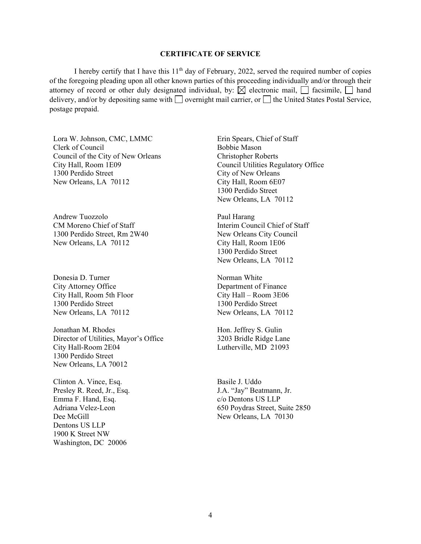### **CERTIFICATE OF SERVICE**

I hereby certify that I have this  $11<sup>th</sup>$  day of February, 2022, served the required number of copies of the foregoing pleading upon all other known parties of this proceeding individually and/or through their attorney of record or other duly designated individual, by:  $\boxtimes$  electronic mail,  $\Box$  facsimile,  $\Box$  hand delivery, and/or by depositing same with  $\Box$  overnight mail carrier, or  $\Box$  the United States Postal Service, postage prepaid.

Lora W. Johnson, CMC, LMMC Clerk of Council Council of the City of New Orleans City Hall, Room 1E09 1300 Perdido Street New Orleans, LA 70112

Andrew Tuozzolo CM Moreno Chief of Staff 1300 Perdido Street, Rm 2W40 New Orleans, LA 70112

Donesia D. Turner City Attorney Office City Hall, Room 5th Floor 1300 Perdido Street New Orleans, LA 70112

Jonathan M. Rhodes Director of Utilities, Mayor's Office City Hall-Room 2E04 1300 Perdido Street New Orleans, LA 70012

Clinton A. Vince, Esq. Presley R. Reed, Jr., Esq. Emma F. Hand, Esq. Adriana Velez-Leon Dee McGill Dentons US LLP 1900 K Street NW Washington, DC 20006

Erin Spears, Chief of Staff Bobbie Mason Christopher Roberts Council Utilities Regulatory Office City of New Orleans City Hall, Room 6E07 1300 Perdido Street New Orleans, LA 70112

Paul Harang Interim Council Chief of Staff New Orleans City Council City Hall, Room 1E06 1300 Perdido Street New Orleans, LA 70112

Norman White Department of Finance City Hall – Room 3E06 1300 Perdido Street New Orleans, LA 70112

Hon. Jeffrey S. Gulin 3203 Bridle Ridge Lane Lutherville, MD 21093

Basile J. Uddo J.A. "Jay" Beatmann, Jr. c/o Dentons US LLP 650 Poydras Street, Suite 2850 New Orleans, LA 70130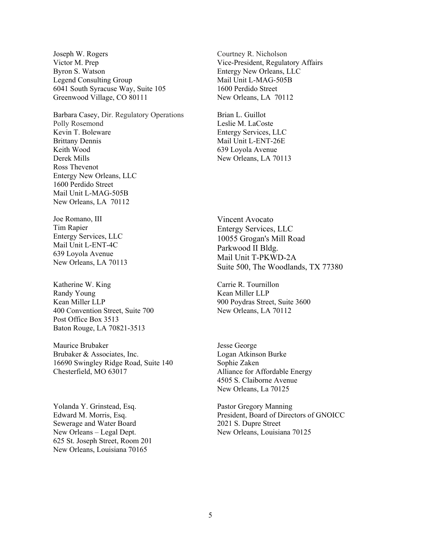Joseph W. Rogers Victor M. Prep Byron S. Watson Legend Consulting Group 6041 South Syracuse Way, Suite 105 Greenwood Village, CO 80111

Barbara Casey, Dir. Regulatory Operations Polly Rosemond Kevin T. Boleware Brittany Dennis Keith Wood Derek Mills Ross Thevenot Entergy New Orleans, LLC 1600 Perdido Street Mail Unit L-MAG-505B New Orleans, LA 70112

Joe Romano, III Tim Rapier Entergy Services, LLC Mail Unit L-ENT-4C 639 Loyola Avenue New Orleans, LA 70113

Katherine W. King Randy Young Kean Miller LLP 400 Convention Street, Suite 700 Post Office Box 3513 Baton Rouge, LA 70821-3513

Maurice Brubaker Brubaker & Associates, Inc. 16690 Swingley Ridge Road, Suite 140 Chesterfield, MO 63017

Yolanda Y. Grinstead, Esq. Edward M. Morris, Esq. Sewerage and Water Board New Orleans – Legal Dept. 625 St. Joseph Street, Room 201 New Orleans, Louisiana 70165

Courtney R. Nicholson Vice-President, Regulatory Affairs Entergy New Orleans, LLC Mail Unit L-MAG-505B 1600 Perdido Street New Orleans, LA 70112

Brian L. Guillot Leslie M. LaCoste Entergy Services, LLC Mail Unit L-ENT-26E 639 Loyola Avenue New Orleans, LA 70113

Vincent Avocato Entergy Services, LLC 10055 Grogan's Mill Road Parkwood II Bldg. Mail Unit T-PKWD-2A Suite 500, The Woodlands, TX 77380

Carrie R. Tournillon Kean Miller LLP 900 Poydras Street, Suite 3600 New Orleans, LA 70112

Jesse George Logan Atkinson Burke Sophie Zaken Alliance for Affordable Energy 4505 S. Claiborne Avenue New Orleans, La 70125

Pastor Gregory Manning President, Board of Directors of GNOICC 2021 S. Dupre Street New Orleans, Louisiana 70125